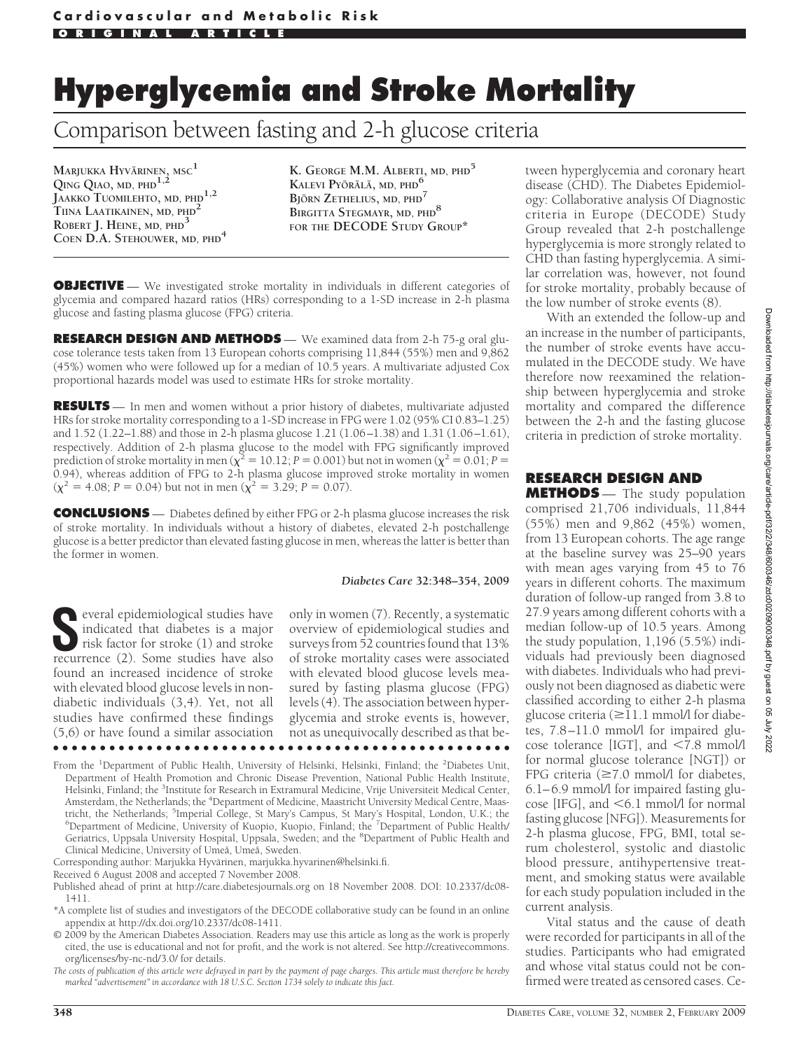# **Hyperglycemia and Stroke Mortality**

# Comparison between fasting and 2-h glucose criteria

**MARJUKKA HYVARINEN ¨ , MSC<sup>1</sup> QING QIAO, MD, PHD1,2 JAAKKO TUOMILEHTO, MD, PHD1,2 TIINA LAATIKAINEN, MD, PHD<sup>2</sup> ROBERT J. HEINE, MD, PHD3 COEN D.A. STEHOUWER, MD, PHD<sup>4</sup>** **K. GEORGE M.M. ALBERTI, MD, PHD<sup>5</sup> KALEVI PYÖRÄLÄ, MD, PHD<sup>6</sup> BJORN ¨ ZETHELIUS, MD, PHD<sup>7</sup> BIRGITTA STEGMAYR, MD, PHD<sup>8</sup> FOR THE DECODE STUDY GROUP\***

**OBJECTIVE** — We investigated stroke mortality in individuals in different categories of glycemia and compared hazard ratios (HRs) corresponding to a 1-SD increase in 2-h plasma glucose and fasting plasma glucose (FPG) criteria.

**RESEARCH DESIGN AND METHODS** — We examined data from 2-h 75-g oral glucose tolerance tests taken from 13 European cohorts comprising 11,844 (55%) men and 9,862 (45%) women who were followed up for a median of 10.5 years. A multivariate adjusted Cox proportional hazards model was used to estimate HRs for stroke mortality.

**RESULTS** — In men and women without a prior history of diabetes, multivariate adjusted HRs for stroke mortality corresponding to a 1-SD increase in FPG were 1.02 (95% CI 0.83–1.25) and 1.52 (1.22–1.88) and those in 2-h plasma glucose 1.21 (1.06–1.38) and 1.31 (1.06–1.61), respectively. Addition of 2-h plasma glucose to the model with FPG significantly improved prediction of stroke mortality in men ( $\chi^2 = 10.12$ ; *P* = 0.001) but not in women ( $\chi^2 = 0.01$ ; *P* = 0.94), whereas addition of FPG to 2-h plasma glucose improved stroke mortality in women  $(\chi^2 = 4.08; P = 0.04)$  but not in men  $(\chi^2 = 3.29; P = 0.07)$ .

**CONCLUSIONS** — Diabetes defined by either FPG or 2-h plasma glucose increases the risk of stroke mortality. In individuals without a history of diabetes, elevated 2-h postchallenge glucose is a better predictor than elevated fasting glucose in men, whereas the latter is better than the former in women.

#### *Diabetes Care* **32:348–354, 2009**

**S**everal epidemiological studies have indicated that diabetes is a major risk factor for stroke (1) and stroke recurrence (2). Some studies have also found an increased incidence of stroke with elevated blood glucose levels in nondiabetic individuals (3,4). Yet, not all studies have confirmed these findings (5,6) or have found a similar association

only in women (7). Recently, a systematic overview of epidemiological studies and surveys from 52 countries found that 13% of stroke mortality cases were associated with elevated blood glucose levels measured by fasting plasma glucose (FPG) levels (4). The association between hyperglycemia and stroke events is, however, not as unequivocally described as that be-●●●●●●●●●●●●●●●●●●●●●●●●●●●●●●●●●●●●●●●●●●●●●●●●●

From the <sup>1</sup>Department of Public Health, University of Helsinki, Helsinki, Finland; the <sup>2</sup>Diabetes Unit, Department of Health Promotion and Chronic Disease Prevention, National Public Health Institute, Helsinki, Finland; the <sup>3</sup>Institute for Research in Extramural Medicine, Vrije Universiteit Medical Center, Amsterdam, the Netherlands; the <sup>4</sup>Department of Medicine, Maastricht University Medical Centre, Maastricht, the Netherlands; <sup>5</sup>Imperial College, St Mary's Campus, St Mary's Hospital, London, U.K.; the <sup>6</sup>Department of Medicine, University of Kuopio, Kuopio, Finland; the <sup>7</sup>Department of Public Health Department of Medicine, University of Kuopio, Kuopio, Finland; the <sup>7</sup>Department of Public Health/ Geriatrics, Uppsala University Hospital, Uppsala, Sweden; and the <sup>8</sup>Department of Public Health and Clinical Medicine, University of Umeå, Umeå, Sweden.

Corresponding author: Marjukka Hyvärinen, marjukka.hyvarinen@helsinki.fi.

Received 6 August 2008 and accepted 7 November 2008.

Published ahead of print at http://care.diabetesjournals.org on 18 November 2008. DOI: 10.2337/dc08- 1411.

\*A complete list of studies and investigators of the DECODE collaborative study can be found in an online appendix at http://dx.doi.org/10.2337/dc08-1411.

© 2009 by the American Diabetes Association. Readers may use this article as long as the work is properly cited, the use is educational and not for profit, and the work is not altered. See http://creativecommons. org/licenses/by-nc-nd/3.0/ for details.

*The costs of publication of this article were defrayed in part by the payment of page charges. This article must therefore be hereby marked "advertisement" in accordance with 18 U.S.C. Section 1734 solely to indicate this fact.*

tween hyperglycemia and coronary heart disease (CHD). The Diabetes Epidemiology: Collaborative analysis Of Diagnostic criteria in Europe (DECODE) Study Group revealed that 2-h postchallenge hyperglycemia is more strongly related to CHD than fasting hyperglycemia. A similar correlation was, however, not found for stroke mortality, probably because of the low number of stroke events (8).

With an extended the follow-up and an increase in the number of participants, the number of stroke events have accumulated in the DECODE study. We have therefore now reexamined the relationship between hyperglycemia and stroke mortality and compared the difference between the 2-h and the fasting glucose criteria in prediction of stroke mortality.

### **RESEARCH DESIGN AND**

**METHODS** — The study population comprised 21,706 individuals, 11,844 (55%) men and 9,862 (45%) women, from 13 European cohorts. The age range at the baseline survey was 25–90 years with mean ages varying from 45 to 76 years in different cohorts. The maximum duration of follow-up ranged from 3.8 to 27.9 years among different cohorts with a median follow-up of 10.5 years. Among the study population, 1,196 (5.5%) individuals had previously been diagnosed with diabetes. Individuals who had previously not been diagnosed as diabetic were classified according to either 2-h plasma glucose criteria ( $\geq$ 11.1 mmol/l for diabetes, 7.8–11.0 mmol/l for impaired glucose tolerance [IGT], and  $\leq 7.8$  mmol/l for normal glucose tolerance [NGT]) or FPG criteria  $(\geq 7.0 \text{ mmol/l}$  for diabetes, 6.1–6.9 mmol/l for impaired fasting glucose [IFG], and  $\leq 6.1$  mmol/l for normal fasting glucose [NFG]). Measurements for 2-h plasma glucose, FPG, BMI, total serum cholesterol, systolic and diastolic blood pressure, antihypertensive treatment, and smoking status were available for each study population included in the current analysis.

Vital status and the cause of death were recorded for participants in all of the studies. Participants who had emigrated and whose vital status could not be confirmed were treated as censored cases. Ce-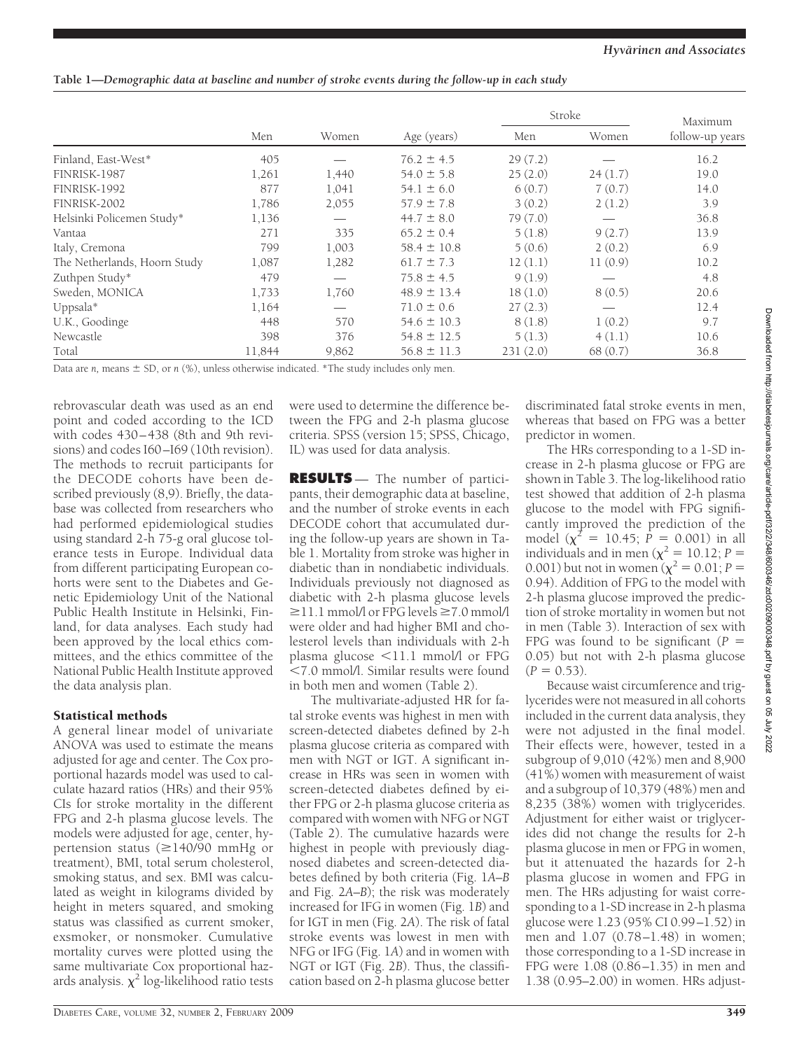**Table 1—***Demographic data at baseline and number of stroke events during the follow-up in each study*

|                              |        |       | Stroke          |          | Maximum |                 |
|------------------------------|--------|-------|-----------------|----------|---------|-----------------|
|                              | Men    | Women | Age (years)     | Men      | Women   | follow-up years |
| Finland, East-West*          | 405    |       | $76.2 \pm 4.5$  | 29(7.2)  |         | 16.2            |
| FINRISK-1987                 | 1,261  | 1,440 | $54.0 \pm 5.8$  | 25(2.0)  | 24(1.7) | 19.0            |
| FINRISK-1992                 | 877    | 1,041 | $54.1 \pm 6.0$  | 6(0.7)   | 7(0.7)  | 14.0            |
| FINRISK-2002                 | 1,786  | 2,055 | $57.9 \pm 7.8$  | 3(0.2)   | 2(1.2)  | 3.9             |
| Helsinki Policemen Study*    | 1,136  |       | $44.7 \pm 8.0$  | 79(7.0)  |         | 36.8            |
| Vantaa                       | 271    | 335   | $65.2 \pm 0.4$  | 5(1.8)   | 9(2.7)  | 13.9            |
| Italy, Cremona               | 799    | 1,003 | $58.4 \pm 10.8$ | 5(0.6)   | 2(0.2)  | 6.9             |
| The Netherlands, Hoorn Study | 1,087  | 1,282 | $61.7 \pm 7.3$  | 12(1.1)  | 11(0.9) | 10.2            |
| Zuthpen Study*               | 479    |       | $75.8 \pm 4.5$  | 9(1.9)   |         | 4.8             |
| Sweden, MONICA               | 1,733  | 1,760 | $48.9 \pm 13.4$ | 18(1.0)  | 8(0.5)  | 20.6            |
| Uppsala $*$                  | 1,164  |       | $71.0 \pm 0.6$  | 27(2.3)  |         | 12.4            |
| U.K., Goodinge               | 448    | 570   | $54.6 \pm 10.3$ | 8(1.8)   | 1(0.2)  | 9.7             |
| Newcastle                    | 398    | 376   | $54.8 \pm 12.5$ | 5(1.3)   | 4(1.1)  | 10.6            |
| Total                        | 11,844 | 9,862 | $56.8 \pm 11.3$ | 231(2.0) | 68(0.7) | 36.8            |

Data are  $n$ , means  $\pm$  SD, or  $n$  (%), unless otherwise indicated. \*The study includes only men.

rebrovascular death was used as an end point and coded according to the ICD with codes 430–438 (8th and 9th revisions) and codes I60–I69 (10th revision). The methods to recruit participants for the DECODE cohorts have been described previously (8,9). Briefly, the database was collected from researchers who had performed epidemiological studies using standard 2-h 75-g oral glucose tolerance tests in Europe. Individual data from different participating European cohorts were sent to the Diabetes and Genetic Epidemiology Unit of the National Public Health Institute in Helsinki, Finland, for data analyses. Each study had been approved by the local ethics committees, and the ethics committee of the National Public Health Institute approved the data analysis plan.

## Statistical methods

A general linear model of univariate ANOVA was used to estimate the means adjusted for age and center. The Cox proportional hazards model was used to calculate hazard ratios (HRs) and their 95% CIs for stroke mortality in the different FPG and 2-h plasma glucose levels. The models were adjusted for age, center, hypertension status  $(\geq 140/90$  mmHg or treatment), BMI, total serum cholesterol, smoking status, and sex. BMI was calculated as weight in kilograms divided by height in meters squared, and smoking status was classified as current smoker, exsmoker, or nonsmoker. Cumulative mortality curves were plotted using the same multivariate Cox proportional hazards analysis.  $\chi^2$  log-likelihood ratio tests were used to determine the difference between the FPG and 2-h plasma glucose criteria. SPSS (version 15; SPSS, Chicago, IL) was used for data analysis.

**RESULTS** — The number of participants, their demographic data at baseline, and the number of stroke events in each DECODE cohort that accumulated during the follow-up years are shown in Table 1. Mortality from stroke was higher in diabetic than in nondiabetic individuals. Individuals previously not diagnosed as diabetic with 2-h plasma glucose levels  $\geq$ 11.1 mmol/l or FPG levels  $\geq$ 7.0 mmol/l were older and had higher BMI and cholesterol levels than individuals with 2-h plasma glucose <11.1 mmol/l or FPG 7.0 mmol/l. Similar results were found in both men and women (Table 2).

The multivariate-adjusted HR for fatal stroke events was highest in men with screen-detected diabetes defined by 2-h plasma glucose criteria as compared with men with NGT or IGT. A significant increase in HRs was seen in women with screen-detected diabetes defined by either FPG or 2-h plasma glucose criteria as compared with women with NFG or NGT (Table 2). The cumulative hazards were highest in people with previously diagnosed diabetes and screen-detected diabetes defined by both criteria (Fig. 1*A*–*B* and Fig. 2*A*–*B*); the risk was moderately increased for IFG in women (Fig. 1*B*) and for IGT in men (Fig. 2*A*). The risk of fatal stroke events was lowest in men with NFG or IFG (Fig. 1*A*) and in women with NGT or IGT (Fig. 2*B*). Thus, the classification based on 2-h plasma glucose better

discriminated fatal stroke events in men, whereas that based on FPG was a better predictor in women.

The HRs corresponding to a 1-SD increase in 2-h plasma glucose or FPG are shown in Table 3. The log-likelihood ratio test showed that addition of 2-h plasma glucose to the model with FPG significantly improved the prediction of the model ( $\chi^2 = 10.45$ ;  $\dot{P} = 0.001$ ) in all individuals and in men ( $\chi^2 = 10.12$ ; *P* = 0.001) but not in women ( $\chi^2 = 0.01$ ; *P* = 0.94). Addition of FPG to the model with 2-h plasma glucose improved the prediction of stroke mortality in women but not in men (Table 3). Interaction of sex with FPG was found to be significant  $(P =$ 0.05) but not with 2-h plasma glucose  $(P = 0.53)$ .

Because waist circumference and triglycerides were not measured in all cohorts included in the current data analysis, they were not adjusted in the final model. Their effects were, however, tested in a subgroup of 9,010 (42%) men and 8,900 (41%) women with measurement of waist and a subgroup of 10,379 (48%) men and 8,235 (38%) women with triglycerides. Adjustment for either waist or triglycerides did not change the results for 2-h plasma glucose in men or FPG in women, but it attenuated the hazards for 2-h plasma glucose in women and FPG in men. The HRs adjusting for waist corresponding to a 1-SD increase in 2-h plasma glucose were 1.23 (95% CI 0.99–1.52) in men and 1.07 (0.78–1.48) in women; those corresponding to a 1-SD increase in FPG were 1.08 (0.86–1.35) in men and 1.38 (0.95–2.00) in women. HRs adjust-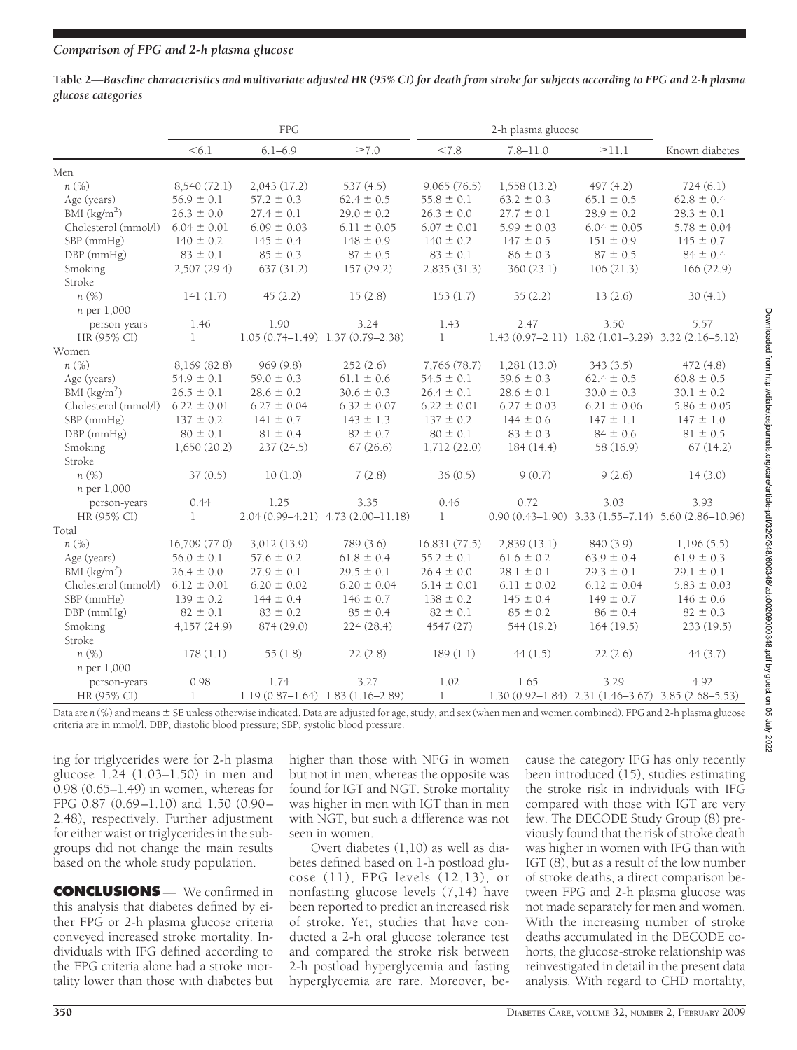|                    | Table 2—Baseline characteristics and multivariate adjusted HR (95% CI) for death from stroke for subjects according to FPG and 2-h plasma |
|--------------------|-------------------------------------------------------------------------------------------------------------------------------------------|
| glucose categories |                                                                                                                                           |

|                          | <b>FPG</b>      |                                          | 2-h plasma glucose                 |                 |                 |                                                       |                                                                |
|--------------------------|-----------------|------------------------------------------|------------------------------------|-----------------|-----------------|-------------------------------------------------------|----------------------------------------------------------------|
|                          | < 6.1           | $6.1 - 6.9$                              | $\geq 7.0$                         | < 7.8           | $7.8 - 11.0$    | $\geq$ 11.1                                           | Known diabetes                                                 |
| Men                      |                 |                                          |                                    |                 |                 |                                                       |                                                                |
| $n(\%)$                  | 8,540 (72.1)    | 2,043(17.2)                              | 537(4.5)                           | 9,065(76.5)     | 1,558(13.2)     | 497(4.2)                                              | 724(6.1)                                                       |
| Age (years)              | $56.9 \pm 0.1$  | $57.2 \pm 0.3$                           | $62.4 \pm 0.5$                     | $55.8 \pm 0.1$  | $63.2 \pm 0.3$  | $65.1 \pm 0.5$                                        | $62.8 \pm 0.4$                                                 |
| BMI $(kg/m2)$            | $26.3 \pm 0.0$  | $27.4 \pm 0.1$                           | $29.0 \pm 0.2$                     | $26.3 \pm 0.0$  | $27.7 \pm 0.1$  | $28.9 \pm 0.2$                                        | $28.3 \pm 0.1$                                                 |
| Cholesterol (mmol/l)     | $6.04 \pm 0.01$ | $6.09 \pm 0.03$                          | $6.11 \pm 0.05$                    | $6.07 \pm 0.01$ | $5.99 \pm 0.03$ | $6.04 \pm 0.05$                                       | $5.78 \pm 0.04$                                                |
| SBP (mmHg)               | $140 \pm 0.2$   | $145 \pm 0.4$                            | $148 \pm 0.9$                      | $140 \pm 0.2$   | $147 \pm 0.5$   | $151 \pm 0.9$                                         | $145 \pm 0.7$                                                  |
| $DBP$ (mmHg)             | $83 \pm 0.1$    | $85 \pm 0.3$                             | $87 \pm 0.5$                       | $83 \pm 0.1$    | $86 \pm 0.3$    | $87 \pm 0.5$                                          | $84 \pm 0.4$                                                   |
| Smoking                  | 2,507 (29.4)    | 637 (31.2)                               | 157(29.2)                          | 2,835(31.3)     | 360 (23.1)      | 106(21.3)                                             | 166 (22.9)                                                     |
| Stroke                   |                 |                                          |                                    |                 |                 |                                                       |                                                                |
| $n(\%)$                  | 141(1.7)        | 45(2.2)                                  | 15(2.8)                            | 153(1.7)        | 35(2.2)         | 13(2.6)                                               | 30(4.1)                                                        |
| <i>n</i> per 1,000       |                 |                                          |                                    |                 |                 |                                                       |                                                                |
| person-years             | 1.46            | 1.90                                     | 3.24                               | 1.43            | 2.47            | 3.50                                                  | 5.57                                                           |
| HR (95% CI)              | $\mathbb{L}$    | $1.05(0.74 - 1.49)$ 1.37 $(0.79 - 2.38)$ |                                    | $\mathbb{I}$    |                 | $1.43(0.97-2.11)$ $1.82(1.01-3.29)$ $3.32(2.16-5.12)$ |                                                                |
| Women                    |                 |                                          |                                    |                 |                 |                                                       |                                                                |
| n(%)                     | 8,169 (82.8)    | 969(9.8)                                 | 252(2.6)                           | 7,766 (78.7)    | 1,281(13.0)     | 343(3.5)                                              | 472(4.8)                                                       |
| Age (years)              | $54.9 \pm 0.1$  | $59.0 \pm 0.3$                           | $61.1 \pm 0.6$                     | $54.5 \pm 0.1$  | $59.6 \pm 0.3$  | $62.4 \pm 0.5$                                        | $60.8 \pm 0.5$                                                 |
| BMI (kg/m <sup>2</sup> ) | $26.5 \pm 0.1$  | $28.6 \pm 0.2$                           | $30.6 \pm 0.3$                     | $26.4 \pm 0.1$  | $28.6 \pm 0.1$  | $30.0 \pm 0.3$                                        | $30.1 \pm 0.2$                                                 |
| Cholesterol (mmol/l)     | $6.22 \pm 0.01$ | $6.27 \pm 0.04$                          | $6.32 \pm 0.07$                    | $6.22 \pm 0.01$ | $6.27 \pm 0.03$ | $6.21 \pm 0.06$                                       | $5.86 \pm 0.05$                                                |
| $SBP$ (mm $Hg$ )         | $137 \pm 0.2$   | $141 \pm 0.7$                            | $143 \pm 1.3$                      | $137 \pm 0.2$   | $144 \pm 0.6$   | $147 \pm 1.1$                                         | $147 \pm 1.0$                                                  |
| DBP (mmHg)               | $80 \pm 0.1$    | $81 \pm 0.4$                             | $82 \pm 0.7$                       | $80 \pm 0.1$    | $83 \pm 0.3$    | $84 \pm 0.6$                                          | $81 \pm 0.5$                                                   |
| Smoking                  | 1,650(20.2)     | 237(24.5)                                | 67(26.6)                           | 1,712(22.0)     | 184(14.4)       | 58 (16.9)                                             | 67(14.2)                                                       |
| Stroke                   |                 |                                          |                                    |                 |                 |                                                       |                                                                |
| $n(\%)$                  | 37(0.5)         | 10(1.0)                                  | 7(2.8)                             | 36(0.5)         | 9(0.7)          | 9(2.6)                                                | 14(3.0)                                                        |
| <i>n</i> per 1,000       |                 |                                          |                                    |                 |                 |                                                       |                                                                |
| person-years             | 0.44            | 1.25                                     | 3.35                               | 0.46            | 0.72            | 3.03                                                  | 3.93                                                           |
| HR (95% CI)              | $\mathbf{1}$    |                                          | 2.04 (0.99-4.21) 4.73 (2.00-11.18) | $\mathbf{1}$    |                 |                                                       | $0.90(0.43 - 1.90)$ 3.33 $(1.55 - 7.14)$ 5.60 $(2.86 - 10.96)$ |
| Total                    |                 |                                          |                                    |                 |                 |                                                       |                                                                |
| n(%)                     | 16,709 (77.0)   | 3,012 (13.9)                             | 789 (3.6)                          | 16,831(77.5)    | 2,839(13.1)     | 840 (3.9)                                             | 1,196(5.5)                                                     |
| Age (years)              | $56.0 \pm 0.1$  | $57.6 \pm 0.2$                           | $61.8 \pm 0.4$                     | $55.2 \pm 0.1$  | $61.6 \pm 0.2$  | $63.9 \pm 0.4$                                        | $61.9 \pm 0.3$                                                 |
| BMI $(kg/m2)$            | $26.4 \pm 0.0$  | $27.9 \pm 0.1$                           | $29.5 \pm 0.1$                     | $26.4 \pm 0.0$  | $28.1 \pm 0.1$  | $29.3 \pm 0.1$                                        | $29.1 \pm 0.1$                                                 |
| Cholesterol (mmol/l)     | $6.12 \pm 0.01$ | $6.20 \pm 0.02$                          | $6.20 \pm 0.04$                    | $6.14 \pm 0.01$ | $6.11 \pm 0.02$ | $6.12 \pm 0.04$                                       | $5.83 \pm 0.03$                                                |
| SBP (mmHg)               | $139 \pm 0.2$   | $144 \pm 0.4$                            | $146 \pm 0.7$                      | $138 \pm 0.2$   | $145 \pm 0.4$   | $149 \pm 0.7$                                         | $146 \pm 0.6$                                                  |
| DBP (mmHg)               | $82 \pm 0.1$    | $83 \pm 0.2$                             | $85 \pm 0.4$                       | $82 \pm 0.1$    | $85 \pm 0.2$    | $86 \pm 0.4$                                          | $82 \pm 0.3$                                                   |
| Smoking                  | 4,157 (24.9)    | 874 (29.0)                               | 224(28.4)                          | 4547 (27)       | 544 (19.2)      | 164(19.5)                                             | 233 (19.5)                                                     |
| Stroke                   |                 |                                          |                                    |                 |                 |                                                       |                                                                |
| $n(\%)$                  | 178(1.1)        | 55 $(1.8)$                               | 22(2.8)                            | 189(1.1)        | 44(1.5)         | 22(2.6)                                               | 44(3.7)                                                        |
| <i>n</i> per 1,000       |                 |                                          |                                    |                 |                 |                                                       |                                                                |
| person-years             | 0.98            | 1.74                                     | 3.27                               | 1.02            | 1.65            | 3.29                                                  | 4.92                                                           |
| HR (95% CI)              | 1               | 1.19 (0.87-1.64) 1.83 (1.16-2.89)        |                                    | 1               |                 | 1.30 (0.92-1.84) 2.31 (1.46-3.67) 3.85 (2.68-5.53)    |                                                                |

Data are *n* (%) and means ± SE unless otherwise indicated. Data are adjusted for age, study, and sex (when men and women combined). FPG and 2-h plasma glucose criteria are in mmol/l. DBP, diastolic blood pressure; SBP, systolic blood pressure.

ing for triglycerides were for 2-h plasma glucose 1.24 (1.03–1.50) in men and 0.98 (0.65–1.49) in women, whereas for FPG 0.87 (0.69–1.10) and 1.50 (0.90– 2.48), respectively. Further adjustment for either waist or triglycerides in the subgroups did not change the main results based on the whole study population.

**CONCLUSIONS** — We confirmed in this analysis that diabetes defined by either FPG or 2-h plasma glucose criteria conveyed increased stroke mortality. Individuals with IFG defined according to the FPG criteria alone had a stroke mortality lower than those with diabetes but higher than those with NFG in women but not in men, whereas the opposite was found for IGT and NGT. Stroke mortality was higher in men with IGT than in men with NGT, but such a difference was not seen in women.

Overt diabetes (1,10) as well as diabetes defined based on 1-h postload glucose (11), FPG levels (12,13), or nonfasting glucose levels (7,14) have been reported to predict an increased risk of stroke. Yet, studies that have conducted a 2-h oral glucose tolerance test and compared the stroke risk between 2-h postload hyperglycemia and fasting hyperglycemia are rare. Moreover, because the category IFG has only recently been introduced (15), studies estimating the stroke risk in individuals with IFG compared with those with IGT are very few. The DECODE Study Group (8) previously found that the risk of stroke death was higher in women with IFG than with IGT  $(8)$ , but as a result of the low number of stroke deaths, a direct comparison between FPG and 2-h plasma glucose was not made separately for men and women. With the increasing number of stroke deaths accumulated in the DECODE cohorts, the glucose-stroke relationship was reinvestigated in detail in the present data analysis. With regard to CHD mortality,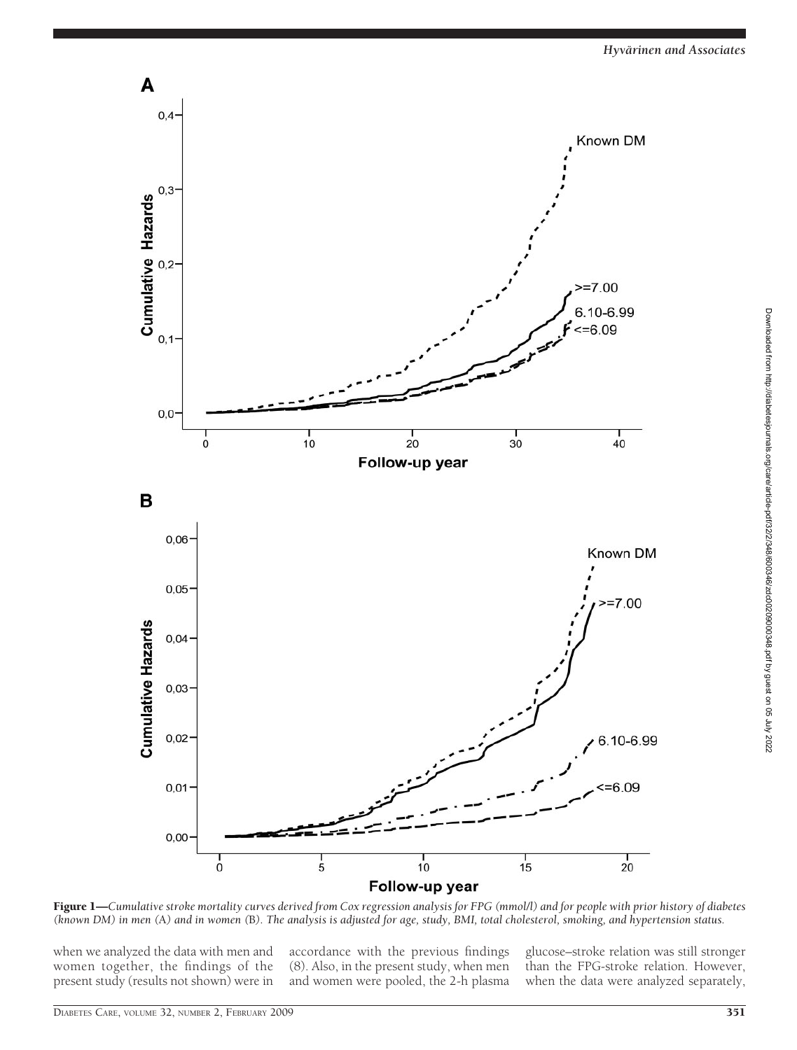

Figure 1—*Cumulative stroke mortality curves derived from Cox regression analysis for FPG (mmol/l) and for people with prior history of diabetes (known DM) in men (*A*) and in women (*B*). The analysis is adjusted for age, study, BMI, total cholesterol, smoking, and hypertension status.*

when we analyzed the data with men and women together, the findings of the present study (results not shown) were in

accordance with the previous findings (8). Also, in the present study, when men and women were pooled, the 2-h plasma glucose–stroke relation was still stronger than the FPG-stroke relation. However, when the data were analyzed separately,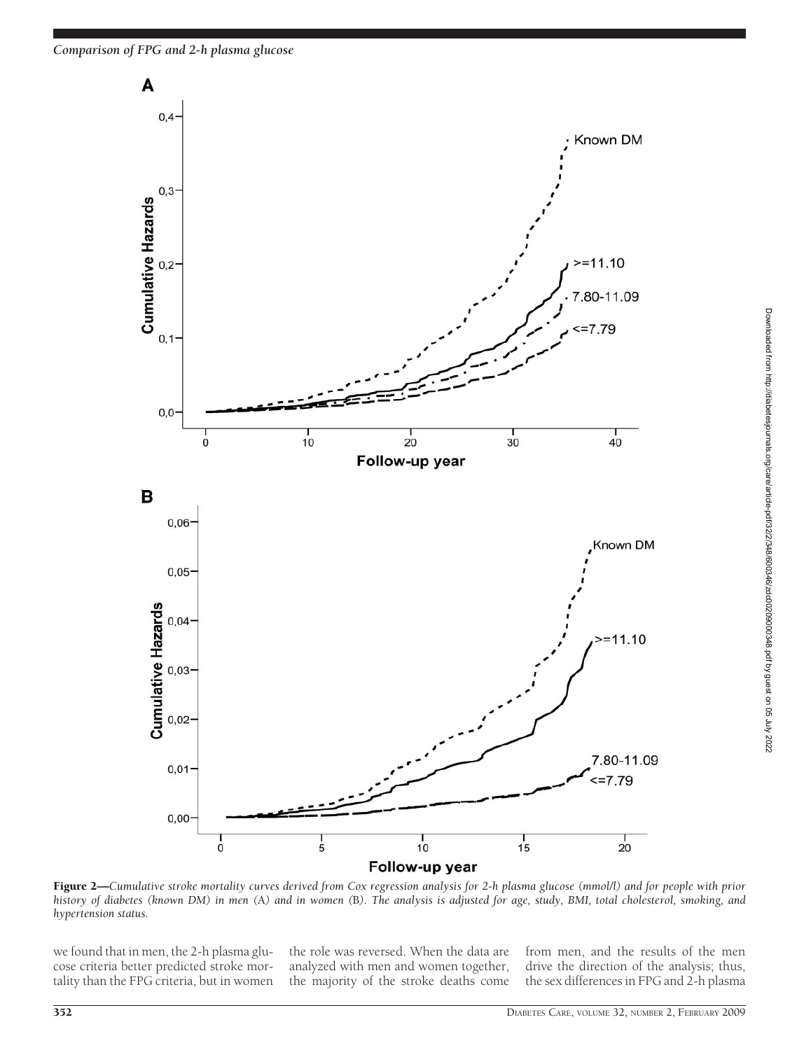*Comparison of FPG and 2-h plasma glucose*



Figure 2—*Cumulative stroke mortality curves derived from Cox regression analysis for 2-h plasma glucose (mmol/l) and for people with prior history of diabetes (known DM) in men (*A*) and in women (*B*). The analysis is adjusted for age, study, BMI, total cholesterol, smoking, and hypertension status.*

we found that in men, the 2-h plasma glucose criteria better predicted stroke mortality than the FPG criteria, but in women

the role was reversed. When the data are analyzed with men and women together, the majority of the stroke deaths come from men, and the results of the men drive the direction of the analysis; thus, the sex differences in FPG and 2-h plasma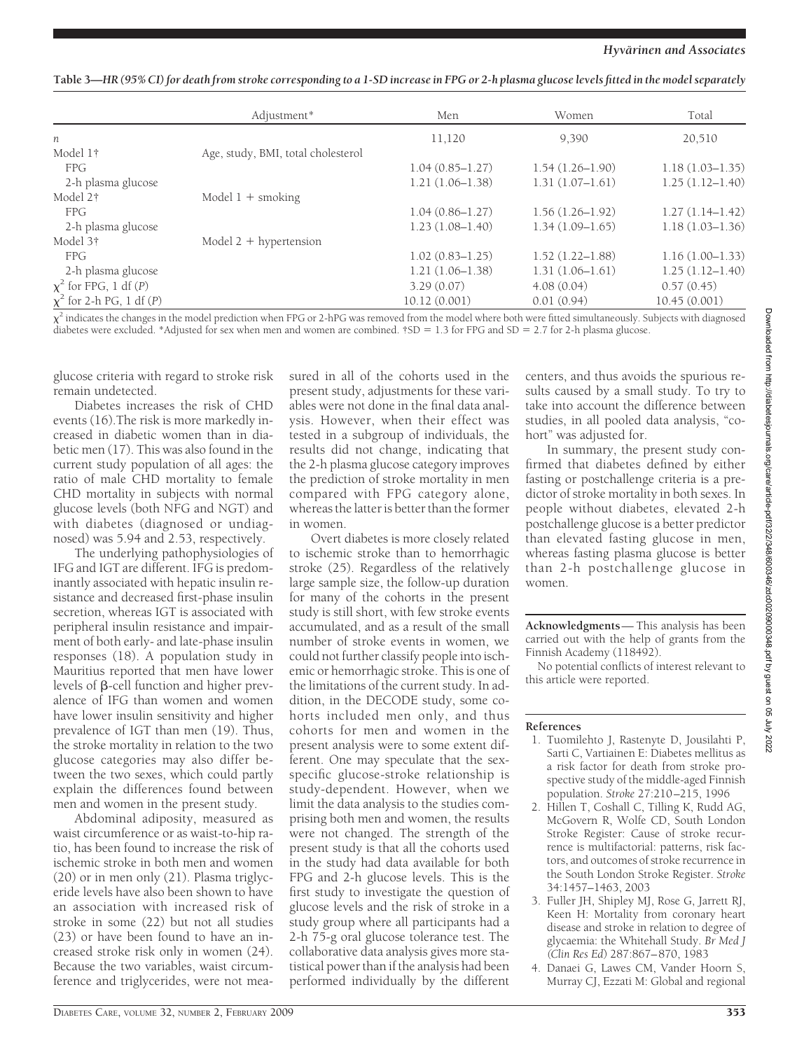| Table 3—HR (95% CI) for death from stroke corresponding to a 1-SD increase in FPG or 2-h plasma glucose levels fitted in the model separately |  |
|-----------------------------------------------------------------------------------------------------------------------------------------------|--|
|                                                                                                                                               |  |

|                               | Adjustment*                        | Men                 | Women               | Total               |
|-------------------------------|------------------------------------|---------------------|---------------------|---------------------|
| $\boldsymbol{n}$              |                                    | 11,120              | 9,390               | 20,510              |
| Model 1†                      | Age, study, BMI, total cholesterol |                     |                     |                     |
| <b>FPG</b>                    |                                    | $1.04(0.85 - 1.27)$ | $1.54(1.26 - 1.90)$ | $1.18(1.03 - 1.35)$ |
| 2-h plasma glucose            |                                    | $1.21(1.06 - 1.38)$ | $1.31(1.07-1.61)$   | $1.25(1.12 - 1.40)$ |
| Model 2†                      | Model $1 +$ smoking                |                     |                     |                     |
| <b>FPG</b>                    |                                    | $1.04(0.86 - 1.27)$ | $1.56(1.26 - 1.92)$ | $1.27(1.14-1.42)$   |
| 2-h plasma glucose            |                                    | $1.23(1.08 - 1.40)$ | $1.34(1.09-1.65)$   | $1.18(1.03 - 1.36)$ |
| Model 3†                      | Model $2 +$ hypertension           |                     |                     |                     |
| <b>FPG</b>                    |                                    | $1.02(0.83 - 1.25)$ | $1.52(1.22 - 1.88)$ | $1.16(1.00-1.33)$   |
| 2-h plasma glucose            |                                    | $1.21(1.06-1.38)$   | $1.31(1.06 - 1.61)$ | $1.25(1.12 - 1.40)$ |
| $\chi^2$ for FPG, 1 df (P)    |                                    | 3.29(0.07)          | 4.08(0.04)          | 0.57(0.45)          |
| $\chi^2$ for 2-h PG, 1 df (P) |                                    | 10.12(0.001)        | 0.01(0.94)          | 10.45(0.001)        |

 $\chi^2$  indicates the changes in the model prediction when FPG or 2-hPG was removed from the model where both were fitted simultaneously. Subjects with diagnosed diabetes were excluded. \*Adjusted for sex when men and women are combined. †SD = 1.3 for FPG and SD = 2.7 for 2-h plasma glucose.

glucose criteria with regard to stroke risk remain undetected.

Diabetes increases the risk of CHD events (16).The risk is more markedly increased in diabetic women than in diabetic men (17). This was also found in the current study population of all ages: the ratio of male CHD mortality to female CHD mortality in subjects with normal glucose levels (both NFG and NGT) and with diabetes (diagnosed or undiagnosed) was 5.94 and 2.53, respectively.

The underlying pathophysiologies of IFG and IGT are different. IFG is predominantly associated with hepatic insulin resistance and decreased first-phase insulin secretion, whereas IGT is associated with peripheral insulin resistance and impairment of both early- and late-phase insulin responses (18). A population study in Mauritius reported that men have lower levels of  $\beta$ -cell function and higher prevalence of IFG than women and women have lower insulin sensitivity and higher prevalence of IGT than men (19). Thus, the stroke mortality in relation to the two glucose categories may also differ between the two sexes, which could partly explain the differences found between men and women in the present study.

Abdominal adiposity, measured as waist circumference or as waist-to-hip ratio, has been found to increase the risk of ischemic stroke in both men and women (20) or in men only (21). Plasma triglyceride levels have also been shown to have an association with increased risk of stroke in some (22) but not all studies (23) or have been found to have an increased stroke risk only in women (24). Because the two variables, waist circumference and triglycerides, were not mea-

sured in all of the cohorts used in the present study, adjustments for these variables were not done in the final data analysis. However, when their effect was tested in a subgroup of individuals, the results did not change, indicating that the 2-h plasma glucose category improves the prediction of stroke mortality in men compared with FPG category alone, whereas the latter is better than the former in women.

Overt diabetes is more closely related to ischemic stroke than to hemorrhagic stroke (25). Regardless of the relatively large sample size, the follow-up duration for many of the cohorts in the present study is still short, with few stroke events accumulated, and as a result of the small number of stroke events in women, we could not further classify people into ischemic or hemorrhagic stroke. This is one of the limitations of the current study. In addition, in the DECODE study, some cohorts included men only, and thus cohorts for men and women in the present analysis were to some extent different. One may speculate that the sexspecific glucose-stroke relationship is study-dependent. However, when we limit the data analysis to the studies comprising both men and women, the results were not changed. The strength of the present study is that all the cohorts used in the study had data available for both FPG and 2-h glucose levels. This is the first study to investigate the question of glucose levels and the risk of stroke in a study group where all participants had a 2-h 75-g oral glucose tolerance test. The collaborative data analysis gives more statistical power than if the analysis had been performed individually by the different

centers, and thus avoids the spurious results caused by a small study. To try to take into account the difference between studies, in all pooled data analysis, "cohort" was adjusted for.

In summary, the present study confirmed that diabetes defined by either fasting or postchallenge criteria is a predictor of stroke mortality in both sexes. In people without diabetes, elevated 2-h postchallenge glucose is a better predictor than elevated fasting glucose in men, whereas fasting plasma glucose is better than 2-h postchallenge glucose in women.

**Acknowledgments**— This analysis has been carried out with the help of grants from the Finnish Academy (118492).

No potential conflicts of interest relevant to this article were reported.

#### **References**

- 1. Tuomilehto J, Rastenyte D, Jousilahti P, Sarti C, Vartiainen E: Diabetes mellitus as a risk factor for death from stroke prospective study of the middle-aged Finnish population. *Stroke* 27:210–215, 1996
- 2. Hillen T, Coshall C, Tilling K, Rudd AG, McGovern R, Wolfe CD, South London Stroke Register: Cause of stroke recurrence is multifactorial: patterns, risk factors, and outcomes of stroke recurrence in the South London Stroke Register. *Stroke* 34:1457–1463, 2003
- 3. Fuller JH, Shipley MJ, Rose G, Jarrett RJ, Keen H: Mortality from coronary heart disease and stroke in relation to degree of glycaemia: the Whitehall Study. *Br Med J (Clin Res Ed*) 287:867–870, 1983
- 4. Danaei G, Lawes CM, Vander Hoorn S, Murray CJ, Ezzati M: Global and regional